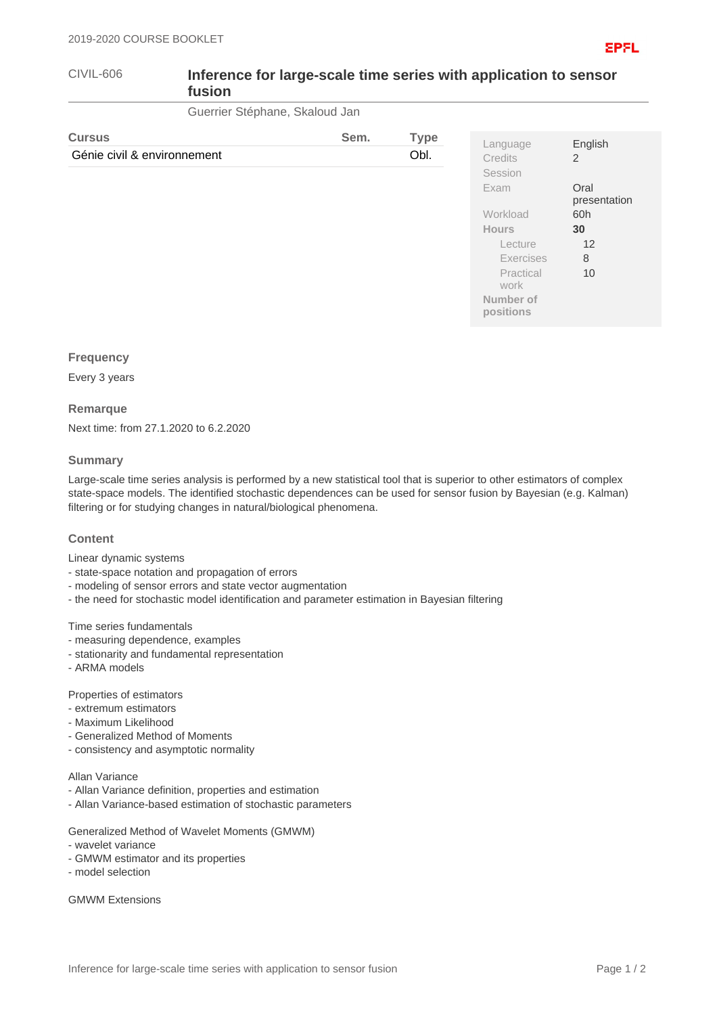| CIVIL-606 | Inference for large-scale time series with application to sensor<br>fusion |
|-----------|----------------------------------------------------------------------------|
|           |                                                                            |

Guerrier Stéphane, Skaloud Jan

| <b>Cursus</b>               | Sem. | <b>Type</b> |                            |                      |
|-----------------------------|------|-------------|----------------------------|----------------------|
| Génie civil & environnement |      | Obl.        | Language<br><b>Credits</b> | English<br>2         |
|                             |      |             | Session                    |                      |
|                             |      |             | Exam                       | Oral<br>presentation |
|                             |      |             | Workload                   | 60h                  |
|                             |      |             | <b>Hours</b>               | 30                   |
|                             |      |             | Lecture                    | 12                   |
|                             |      |             | Exercises                  | 8                    |
|                             |      |             | Practical<br>work          | 10                   |
|                             |      |             | Number of<br>positions     |                      |

## **Frequency**

Every 3 years

#### **Remarque**

Next time: from 27.1.2020 to 6.2.2020

## **Summary**

Large-scale time series analysis is performed by a new statistical tool that is superior to other estimators of complex state-space models. The identified stochastic dependences can be used for sensor fusion by Bayesian (e.g. Kalman) filtering or for studying changes in natural/biological phenomena.

## **Content**

Linear dynamic systems

- state-space notation and propagation of errors
- modeling of sensor errors and state vector augmentation
- the need for stochastic model identification and parameter estimation in Bayesian filtering

## Time series fundamentals

- measuring dependence, examples
- stationarity and fundamental representation
- ARMA models

Properties of estimators

- extremum estimators
- Maximum Likelihood
- Generalized Method of Moments
- consistency and asymptotic normality

#### Allan Variance

- Allan Variance definition, properties and estimation
- Allan Variance-based estimation of stochastic parameters

Generalized Method of Wavelet Moments (GMWM)

- wavelet variance
- GMWM estimator and its properties
- model selection

GMWM Extensions